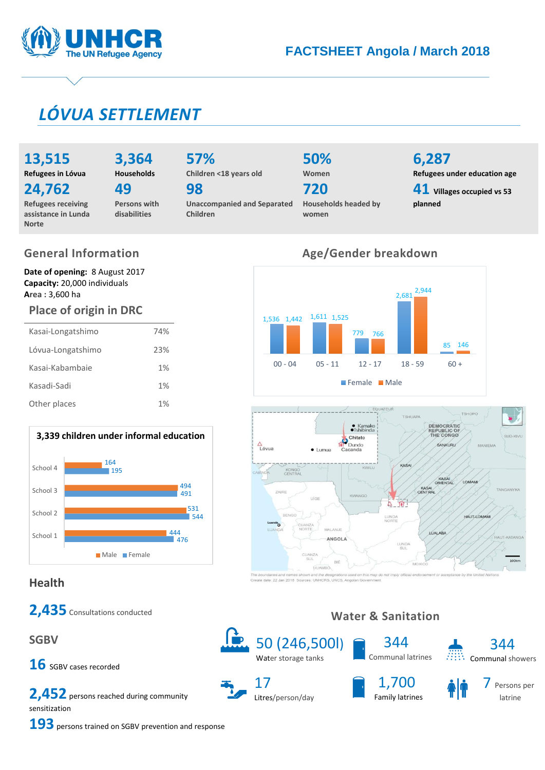

# **FACTSHEET Angola / March 2018**

# *LÓVUA SETTLEMENT*

# **13,515**

**Norte**

**Refugees in Lóvua**

# **3,364**

**24,762 Refugees receiving** 

#### **Households 49**

**assistance in Lunda** 

**Persons with disabilities**

# **57% Children <18 years old**

**98**

**Unaccompanied and Separated Children**

#### **50% Women**

**720**

**Households headed by women**

# **6,287**

**Refugees under education age 41 Villages occupied vs 53 planned**

# **General Information**

**Date of opening:** 8 August 2017 **Capacity:** 20,000 individuals **Area :** 3,600 ha

## **Place of origin in DRC**

| Kasai-Longatshimo | 74% |
|-------------------|-----|
| Lóvua-Longatshimo | 23% |
| Kasai-Kabambaje   | 1%  |
| Kasadi-Sadi       | 1%  |
| Other places      | 1%  |



# **Health**

2,435 Consultations conducted

**SGBV**

16 SGBV cases recorded

**2,452** persons reached during community sensitization



17 Litres/person/day



**Water & Sanitation**



7 Persons per latrine

344

**193** persons trained on SGBV prevention and response

# **Age/Gender breakdown**





te date: 22 Jan 2018 Sources: UNH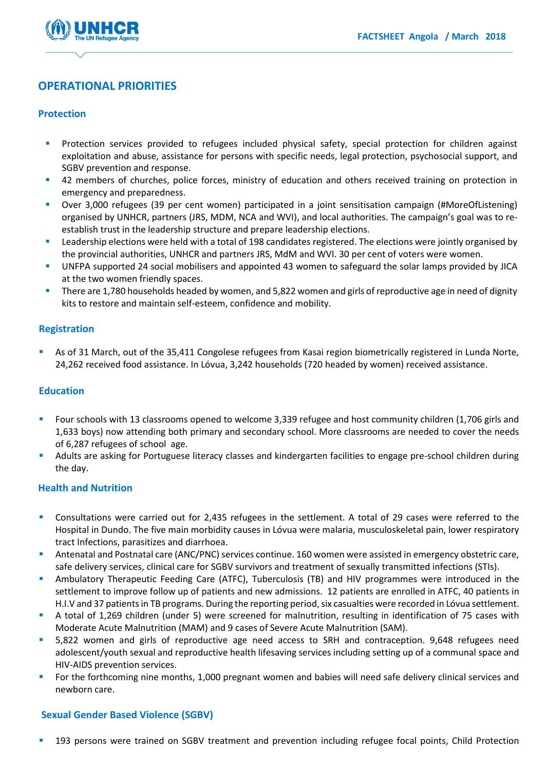

### **OPERATIONAL PRIORITIES**

#### **Protection**

- Protection services provided to refugees included physical safety, special protection for children against exploitation and abuse, assistance for persons with specific needs, legal protection, psychosocial support, and SGBV prevention and response.
- <sup>4</sup> 42 members of churches, police forces, ministry of education and others received training on protection in emergency and preparedness.
- Over 3,000 refugees (39 per cent women) participated in a joint sensitisation campaign (#MoreOfListening) organised by UNHCR, partners (JRS, MDM, NCA and WVI), and local authorities. The campaign's goal was to reestablish trust in the leadership structure and prepare leadership elections.
- Leadership elections were held with a total of 198 candidates registered. The elections were jointly organised by the provincial authorities, UNHCR and partners JRS, MdM and WVI. 30 per cent of voters were women.
- UNFPA supported 24 social mobilisers and appointed 43 women to safeguard the solar lamps provided by JICA at the two women friendly spaces.
- There are 1,780 households headed by women, and 5,822 women and girls of reproductive age in need of dignity kits to restore and maintain self-esteem, confidence and mobility.

#### **Registration**

 As of 31 March, out of the 35,411 Congolese refugees from Kasai region biometrically registered in Lunda Norte, 24,262 received food assistance. In Lóvua, 3,242 households (720 headed by women) received assistance.

#### **Education**

- Four schools with 13 classrooms opened to welcome 3,339 refugee and host community children (1,706 girls and 1,633 boys) now attending both primary and secondary school. More classrooms are needed to cover the needs of 6,287 refugees of school age.
- Adults are asking for Portuguese literacy classes and kindergarten facilities to engage pre-school children during the day.

#### **Health and Nutrition**

- Consultations were carried out for 2,435 refugees in the settlement. A total of 29 cases were referred to the Hospital in Dundo. The five main morbidity causes in Lóvua were malaria, musculoskeletal pain, lower respiratory tract Infections, parasitizes and diarrhoea.
- Antenatal and Postnatal care (ANC/PNC) services continue. 160 women were assisted in emergency obstetric care, safe delivery services, clinical care for SGBV survivors and treatment of sexually transmitted infections (STIs).
- Ambulatory Therapeutic Feeding Care (ATFC), Tuberculosis (TB) and HIV programmes were introduced in the settlement to improve follow up of patients and new admissions. 12 patients are enrolled in ATFC, 40 patients in H.I.V and 37 patients in TB programs. During the reporting period, six casualties were recorded in Lóvua settlement.
- A total of 1,269 children (under 5) were screened for malnutrition, resulting in identification of 75 cases with Moderate Acute Malnutrition (MAM) and 9 cases of Severe Acute Malnutrition (SAM).
- 5,822 women and girls of reproductive age need access to SRH and contraception. 9,648 refugees need adolescent/youth sexual and reproductive health lifesaving services including setting up of a communal space and HIV-AIDS prevention services.
- For the forthcoming nine months, 1,000 pregnant women and babies will need safe delivery clinical services and newborn care.

#### **Sexual Gender Based Violence (SGBV)**

193 persons were trained on SGBV treatment and prevention including refugee focal points, Child Protection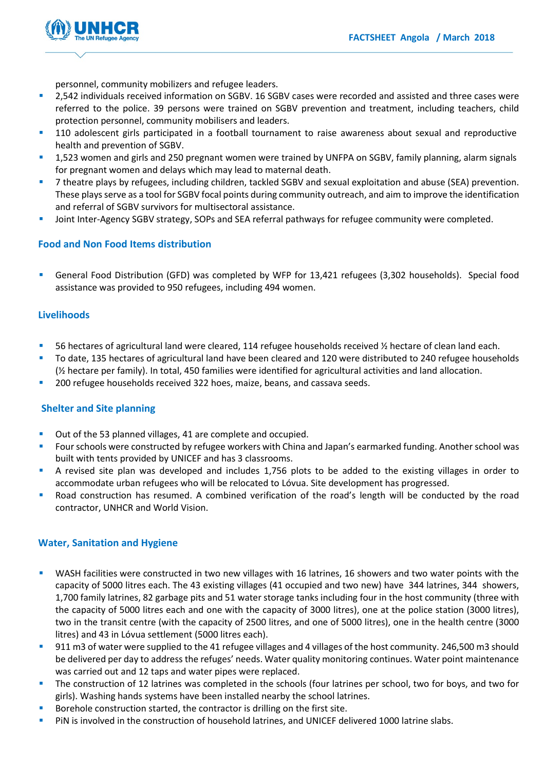

personnel, community mobilizers and refugee leaders.

- 2,542 individuals received information on SGBV. 16 SGBV cases were recorded and assisted and three cases were referred to the police. 39 persons were trained on SGBV prevention and treatment, including teachers, child protection personnel, community mobilisers and leaders.
- **110** adolescent girls participated in a football tournament to raise awareness about sexual and reproductive health and prevention of SGBV.
- <sup>1</sup> 1,523 women and girls and 250 pregnant women were trained by UNFPA on SGBV, family planning, alarm signals for pregnant women and delays which may lead to maternal death.
- 7 theatre plays by refugees, including children, tackled SGBV and sexual exploitation and abuse (SEA) prevention. These plays serve as a tool for SGBV focal points during community outreach, and aim to improve the identification and referral of SGBV survivors for multisectoral assistance.
- Joint Inter-Agency SGBV strategy, SOPs and SEA referral pathways for refugee community were completed.

#### **Food and Non Food Items distribution**

 General Food Distribution (GFD) was completed by WFP for 13,421 refugees (3,302 households). Special food assistance was provided to 950 refugees, including 494 women.

#### **Livelihoods**

- 56 hectares of agricultural land were cleared, 114 refugee households received  $\frac{1}{2}$  hectare of clean land each.
- To date, 135 hectares of agricultural land have been cleared and 120 were distributed to 240 refugee households (½ hectare per family). In total, 450 families were identified for agricultural activities and land allocation.
- 200 refugee households received 322 hoes, maize, beans, and cassava seeds.

#### **Shelter and Site planning**

- Out of the 53 planned villages, 41 are complete and occupied.
- Four schools were constructed by refugee workers with China and Japan's earmarked funding. Another school was built with tents provided by UNICEF and has 3 classrooms.
- A revised site plan was developed and includes 1,756 plots to be added to the existing villages in order to accommodate urban refugees who will be relocated to Lóvua. Site development has progressed.
- Road construction has resumed. A combined verification of the road's length will be conducted by the road contractor, UNHCR and World Vision.

#### **Water, Sanitation and Hygiene**

- WASH facilities were constructed in two new villages with 16 latrines, 16 showers and two water points with the capacity of 5000 litres each. The 43 existing villages (41 occupied and two new) have 344 latrines, 344 showers, 1,700 family latrines, 82 garbage pits and 51 water storage tanks including four in the host community (three with the capacity of 5000 litres each and one with the capacity of 3000 litres), one at the police station (3000 litres), two in the transit centre (with the capacity of 2500 litres, and one of 5000 litres), one in the health centre (3000 litres) and 43 in Lóvua settlement (5000 litres each).
- 911 m3 of water were supplied to the 41 refugee villages and 4 villages of the host community. 246,500 m3 should be delivered per day to address the refuges' needs. Water quality monitoring continues. Water point maintenance was carried out and 12 taps and water pipes were replaced.
- The construction of 12 latrines was completed in the schools (four latrines per school, two for boys, and two for girls). Washing hands systems have been installed nearby the school latrines.
- Borehole construction started, the contractor is drilling on the first site.
- **PiN** is involved in the construction of household latrines, and UNICEF delivered 1000 latrine slabs.